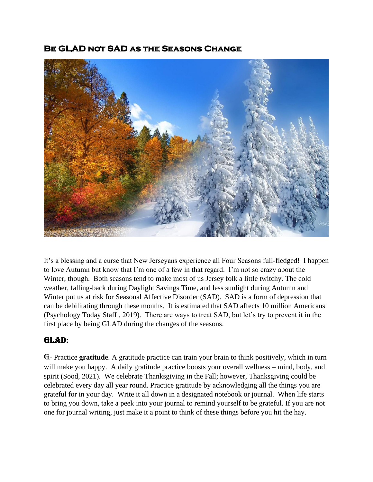## **Be GLAD not SAD as the Seasons Change**



It's a blessing and a curse that New Jerseyans experience all Four Seasons full-fledged! I happen to love Autumn but know that I'm one of a few in that regard. I'm not so crazy about the Winter, though. Both seasons tend to make most of us Jersey folk a little twitchy. The cold weather, falling-back during Daylight Savings Time, and less sunlight during Autumn and Winter put us at risk for Seasonal Affective Disorder (SAD). SAD is a form of depression that can be debilitating through these months. It is estimated that SAD affects 10 million Americans (Psychology Today Staff , 2019). There are ways to treat SAD, but let's try to prevent it in the first place by being GLAD during the changes of the seasons.

## GLAD**:**

G- Practice **gratitude**. A gratitude practice can train your brain to think positively, which in turn will make you happy. A daily gratitude practice boosts your overall wellness – mind, body, and spirit (Sood, 2021). We celebrate Thanksgiving in the Fall; however, Thanksgiving could be celebrated every day all year round. Practice gratitude by acknowledging all the things you are grateful for in your day. Write it all down in a designated notebook or journal. When life starts to bring you down, take a peek into your journal to remind yourself to be grateful. If you are not one for journal writing, just make it a point to think of these things before you hit the hay.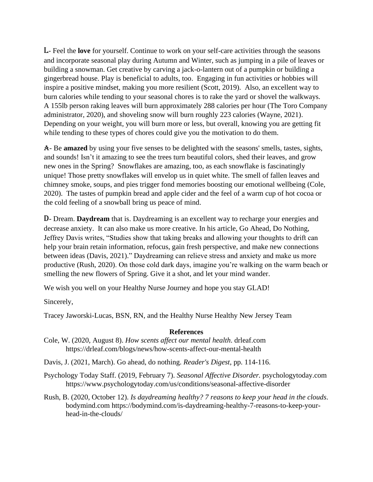L- Feel the **love** for yourself. Continue to work on your self-care activities through the seasons and incorporate seasonal play during Autumn and Winter, such as jumping in a pile of leaves or building a snowman. Get creative by carving a jack-o-lantern out of a pumpkin or building a gingerbread house. Play is beneficial to adults, too. Engaging in fun activities or hobbies will inspire a positive mindset, making you more resilient (Scott, 2019). Also, an excellent way to burn calories while tending to your seasonal chores is to rake the yard or shovel the walkways. A 155lb person raking leaves will burn approximately 288 calories per hour (The Toro Company administrator, 2020), and shoveling snow will burn roughly 223 calories (Wayne, 2021). Depending on your weight, you will burn more or less, but overall, knowing you are getting fit while tending to these types of chores could give you the motivation to do them.

A- Be **amazed** by using your five senses to be delighted with the seasons' smells, tastes, sights, and sounds! Isn't it amazing to see the trees turn beautiful colors, shed their leaves, and grow new ones in the Spring? Snowflakes are amazing, too, as each snowflake is fascinatingly unique! Those pretty snowflakes will envelop us in quiet white. The smell of fallen leaves and chimney smoke, soups, and pies trigger fond memories boosting our emotional wellbeing (Cole, 2020). The tastes of pumpkin bread and apple cider and the feel of a warm cup of hot cocoa or the cold feeling of a snowball bring us peace of mind.

D- Dream. **Daydream** that is. Daydreaming is an excellent way to recharge your energies and decrease anxiety. It can also make us more creative. In his article, Go Ahead, Do Nothing, Jeffrey Davis writes, "Studies show that taking breaks and allowing your thoughts to drift can help your brain retain information, refocus, gain fresh perspective, and make new connections between ideas (Davis, 2021)." Daydreaming can relieve stress and anxiety and make us more productive (Rush, 2020). On those cold dark days, imagine you're walking on the warm beach or smelling the new flowers of Spring. Give it a shot, and let your mind wander.

We wish you well on your Healthy Nurse Journey and hope you stay GLAD!

Sincerely,

Tracey Jaworski-Lucas, BSN, RN, and the Healthy Nurse Healthy New Jersey Team

## **References**

- Cole, W. (2020, August 8). *How scents affect our mental health*. drleaf.com https://drleaf.com/blogs/news/how-scents-affect-our-mental-health
- Davis, J. (2021, March). Go ahead, do nothing. *Reader's Digest*, pp. 114-116.
- Psychology Today Staff. (2019, February 7). *Seasonal Affective Disorder.* psychologytoday.com https://www.psychologytoday.com/us/conditions/seasonal-affective-disorder
- Rush, B. (2020, October 12). *Is daydreaming healthy? 7 reasons to keep your head in the clouds*. bodymind.com https://bodymind.com/is-daydreaming-healthy-7-reasons-to-keep-yourhead-in-the-clouds/